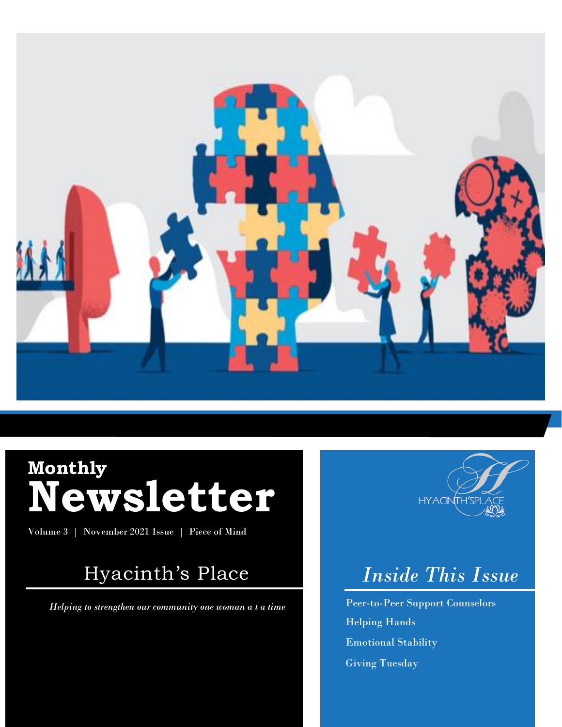

# **Monthly Newsletter**

Volume 3 | November 2021 Issue | Piece of Mind

### Hyacinth's Place

0.

*Helping to strengthen our community one woman a t a time*



## *Inside This Issue*

Peer-to-Peer Support Counselors Helping Hands Emotional Stability Giving Tuesday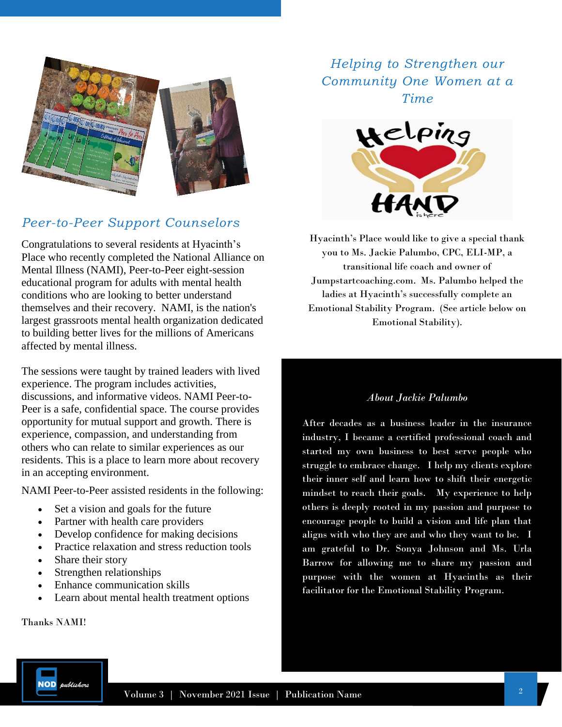

#### *Peer-to-Peer Support Counselors*

Congratulations to several residents at Hyacinth's Place who recently completed the National Alliance on Mental Illness (NAMI), Peer-to-Peer eight-session educational program for adults with mental health conditions who are looking to better understand themselves and their recovery. NAMI, is the nation's largest grassroots mental health organization dedicated to building better lives for the millions of Americans affected by mental illness.

The sessions were taught by trained leaders with lived experience. The program includes activities, discussions, and informative videos. NAMI Peer-to-Peer is a safe, confidential space. The course provides opportunity for mutual support and growth. There is experience, compassion, and understanding from others who can relate to similar experiences as our residents. This is a place to learn more about recovery in an accepting environment.

NAMI Peer-to-Peer assisted residents in the following:

- Set a vision and goals for the future
- Partner with health care providers
- Develop confidence for making decisions
- Practice relaxation and stress reduction tools
- Share their story
- Strengthen relationships
- Enhance communication skills
- Learn about mental health treatment options

Thanks NAMI!

*Helping to Strengthen our Community One Women at a Time*



Hyacinth's Place would like to give a special thank you to Ms. Jackie Palumbo, CPC, ELI-MP, a transitional life coach and owner of Jumpstartcoaching.com. Ms. Palumbo helped the ladies at Hyacinth's successfully complete an Emotional Stability Program. (See article below on Emotional Stability).

#### *About Jackie Palumbo*

After decades as a business leader in the insurance industry, I became a certified professional coach and started my own business to best serve people who struggle to embrace change. I help my clients explore their inner self and learn how to shift their energetic mindset to reach their goals. My experience to help others is deeply rooted in my passion and purpose to encourage people to build a vision and life plan that aligns with who they are and who they want to be. I am grateful to Dr. Sonya Johnson and Ms. Urla Barrow for allowing me to share my passion and purpose with the women at Hyacinths as their facilitator for the Emotional Stability Program.

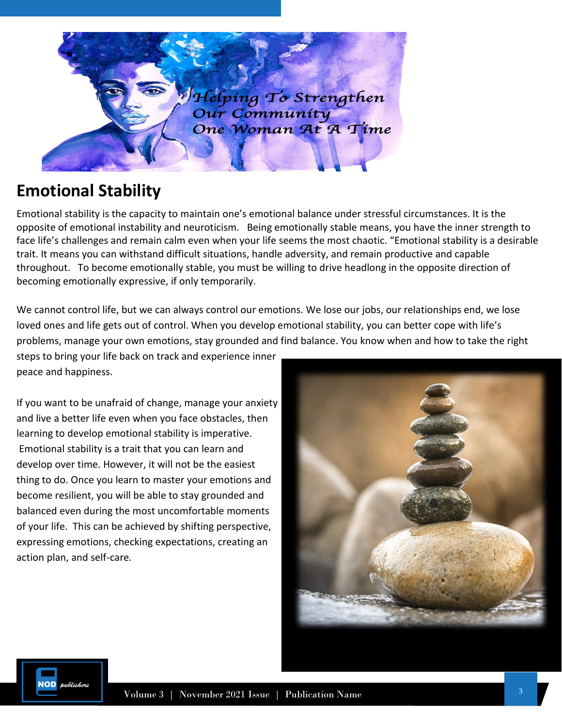

### **Emotional Stability**

Emotional stability is the capacity to maintain one's emotional balance under stressful circumstances. It is the opposite of emotional instability and neuroticism. Being emotionally stable means, you have the inner strength to face life's challenges and remain calm even when your life seems the most chaotic. "Emotional stability is a desirable trait. It means you can withstand difficult situations, handle adversity, and remain productive and capable throughout. To become emotionally stable, you must be willing to drive headlong in the opposite direction of becoming emotionally expressive, if only temporarily.

We cannot control life, but we can always control our emotions. We lose our jobs, our relationships end, we lose loved ones and life gets out of control. When you develop emotional stability, you can better cope with life's problems, manage your own emotions, stay grounded and find balance. You know when and how to take the right

steps to bring your life back on track and experience inner peace and happiness.

If you want to be unafraid of change, manage your anxiety and live a better life even when you face obstacles, then learning to develop emotional stability is imperative. Emotional stability is a trait that you can learn and develop over time. However, it will not be the easiest thing to do. Once you learn to master your emotions and become resilient, you will be able to stay grounded and balanced even during the most uncomfortable moments of your life. This can be achieved by shifting perspective, expressing emotions, checking expectations, creating an action plan, and self-care.